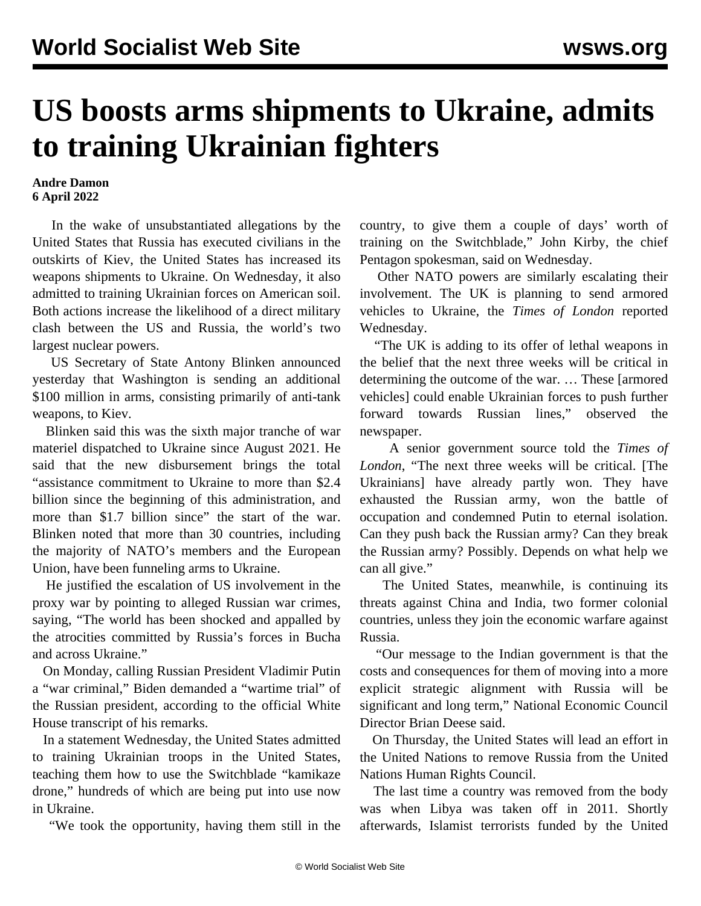## **US boosts arms shipments to Ukraine, admits to training Ukrainian fighters**

## **Andre Damon 6 April 2022**

 In the wake of unsubstantiated allegations by the United States that Russia has executed civilians in the outskirts of Kiev, the United States has increased its weapons shipments to Ukraine. On Wednesday, it also admitted to training Ukrainian forces on American soil. Both actions increase the likelihood of a direct military clash between the US and Russia, the world's two largest nuclear powers.

 US Secretary of State Antony Blinken announced yesterday that Washington is sending an additional \$100 million in arms, consisting primarily of anti-tank weapons, to Kiev.

 Blinken said this was the sixth major tranche of war materiel dispatched to Ukraine since August 2021. He said that the new disbursement brings the total "assistance commitment to Ukraine to more than \$2.4 billion since the beginning of this administration, and more than \$1.7 billion since" the start of the war. Blinken noted that more than 30 countries, including the majority of NATO's members and the European Union, have been funneling arms to Ukraine.

 He justified the escalation of US involvement in the proxy war by pointing to alleged Russian war crimes, saying, "The world has been shocked and appalled by the atrocities committed by Russia's forces in Bucha and across Ukraine."

 On Monday, calling Russian President Vladimir Putin a "war criminal," Biden demanded a "wartime trial" of the Russian president, according to the official White House transcript of his remarks.

 In a statement Wednesday, the United States admitted to training Ukrainian troops in the United States, teaching them how to use the Switchblade "kamikaze drone," hundreds of which are being put into use now in Ukraine.

"We took the opportunity, having them still in the

country, to give them a couple of days' worth of training on the Switchblade," John Kirby, the chief Pentagon spokesman, said on Wednesday.

 Other NATO powers are similarly escalating their involvement. The UK is planning to send armored vehicles to Ukraine, the *Times of London* reported Wednesday.

 "The UK is adding to its offer of lethal weapons in the belief that the next three weeks will be critical in determining the outcome of the war. … These [armored vehicles] could enable Ukrainian forces to push further forward towards Russian lines," observed the newspaper.

 A senior government source told the *Times of London*, "The next three weeks will be critical. [The Ukrainians] have already partly won. They have exhausted the Russian army, won the battle of occupation and condemned Putin to eternal isolation. Can they push back the Russian army? Can they break the Russian army? Possibly. Depends on what help we can all give."

 The United States, meanwhile, is continuing its threats against China and India, two former colonial countries, unless they join the economic warfare against Russia.

 "Our message to the Indian government is that the costs and consequences for them of moving into a more explicit strategic alignment with Russia will be significant and long term," National Economic Council Director Brian Deese said.

 On Thursday, the United States will lead an effort in the United Nations to remove Russia from the United Nations Human Rights Council.

 The last time a country was removed from the body was when Libya was taken off in 2011. Shortly afterwards, Islamist terrorists funded by the United